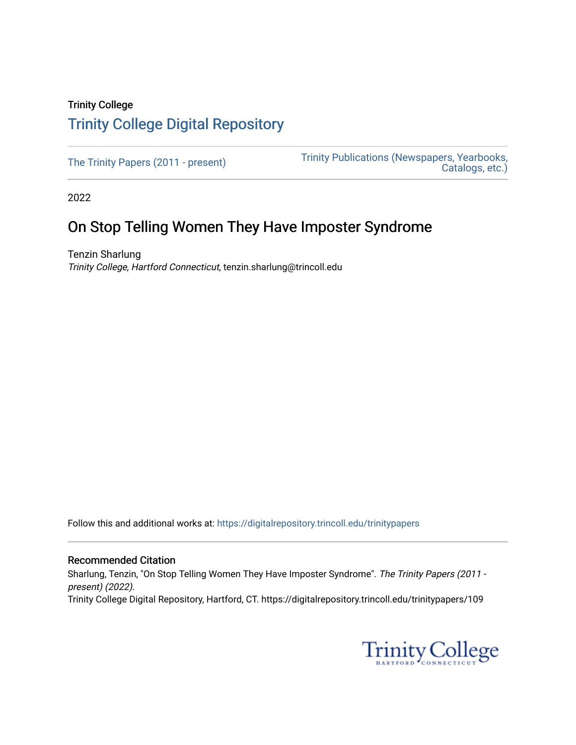## Trinity College [Trinity College Digital Repository](https://digitalrepository.trincoll.edu/)

[The Trinity Papers \(2011 - present\)](https://digitalrepository.trincoll.edu/trinitypapers) Trinity Publications (Newspapers, Yearbooks, [Catalogs, etc.\)](https://digitalrepository.trincoll.edu/publications) 

2022

## On Stop Telling Women They Have Imposter Syndrome

Tenzin Sharlung Trinity College, Hartford Connecticut, tenzin.sharlung@trincoll.edu

Follow this and additional works at: [https://digitalrepository.trincoll.edu/trinitypapers](https://digitalrepository.trincoll.edu/trinitypapers?utm_source=digitalrepository.trincoll.edu%2Ftrinitypapers%2F109&utm_medium=PDF&utm_campaign=PDFCoverPages)

## Recommended Citation

Sharlung, Tenzin, "On Stop Telling Women They Have Imposter Syndrome". The Trinity Papers (2011 present) (2022). Trinity College Digital Repository, Hartford, CT. https://digitalrepository.trincoll.edu/trinitypapers/109

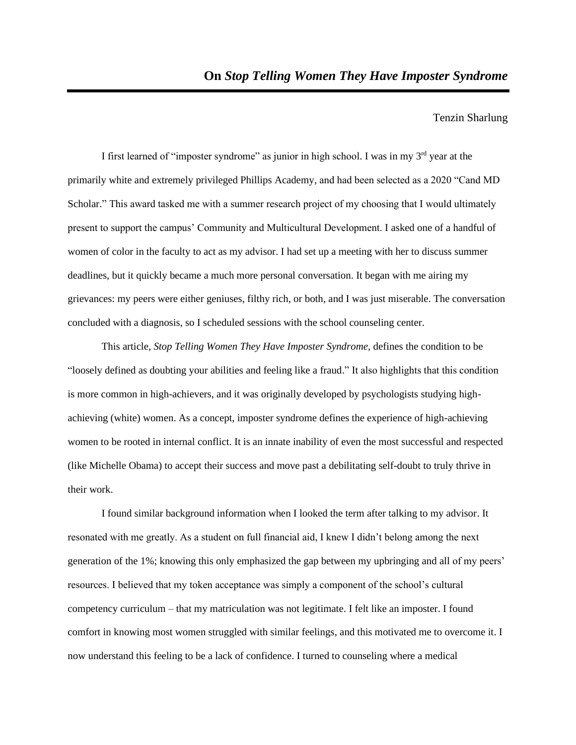Tenzin Sharlung

I first learned of "imposter syndrome" as junior in high school. I was in my  $3<sup>rd</sup>$  year at the primarily white and extremely privileged Phillips Academy, and had been selected as a 2020 "Cand MD Scholar." This award tasked me with a summer research project of my choosing that I would ultimately present to support the campus' Community and Multicultural Development. I asked one of a handful of women of color in the faculty to act as my advisor. I had set up a meeting with her to discuss summer deadlines, but it quickly became a much more personal conversation. It began with me airing my grievances: my peers were either geniuses, filthy rich, or both, and I was just miserable. The conversation concluded with a diagnosis, so I scheduled sessions with the school counseling center.

This article, *Stop Telling Women They Have Imposter Syndrome,* defines the condition to be "loosely defined as doubting your abilities and feeling like a fraud." It also highlights that this condition is more common in high-achievers, and it was originally developed by psychologists studying highachieving (white) women. As a concept, imposter syndrome defines the experience of high-achieving women to be rooted in internal conflict. It is an innate inability of even the most successful and respected (like Michelle Obama) to accept their success and move past a debilitating self-doubt to truly thrive in their work.

I found similar background information when I looked the term after talking to my advisor. It resonated with me greatly. As a student on full financial aid, I knew I didn't belong among the next generation of the 1%; knowing this only emphasized the gap between my upbringing and all of my peers' resources. I believed that my token acceptance was simply a component of the school's cultural competency curriculum – that my matriculation was not legitimate. I felt like an imposter. I found comfort in knowing most women struggled with similar feelings, and this motivated me to overcome it. I now understand this feeling to be a lack of confidence. I turned to counseling where a medical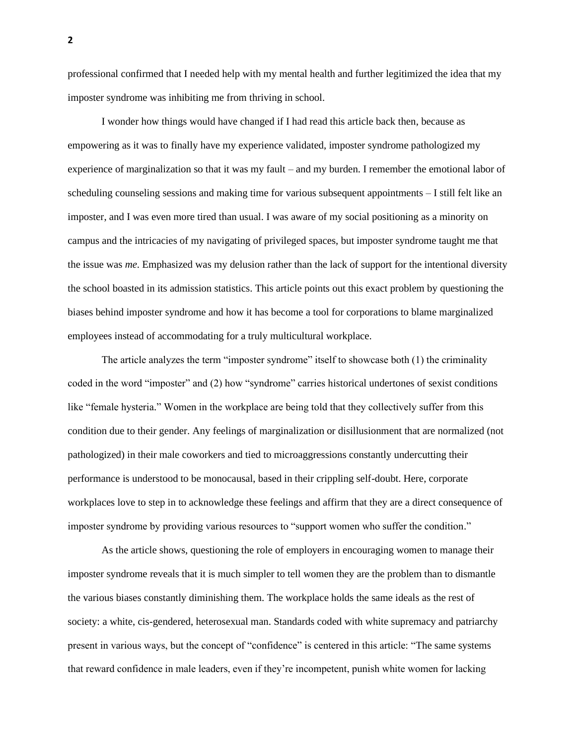professional confirmed that I needed help with my mental health and further legitimized the idea that my imposter syndrome was inhibiting me from thriving in school.

I wonder how things would have changed if I had read this article back then, because as empowering as it was to finally have my experience validated, imposter syndrome pathologized my experience of marginalization so that it was my fault – and my burden. I remember the emotional labor of scheduling counseling sessions and making time for various subsequent appointments – I still felt like an imposter, and I was even more tired than usual. I was aware of my social positioning as a minority on campus and the intricacies of my navigating of privileged spaces, but imposter syndrome taught me that the issue was *me*. Emphasized was my delusion rather than the lack of support for the intentional diversity the school boasted in its admission statistics. This article points out this exact problem by questioning the biases behind imposter syndrome and how it has become a tool for corporations to blame marginalized employees instead of accommodating for a truly multicultural workplace.

The article analyzes the term "imposter syndrome" itself to showcase both (1) the criminality coded in the word "imposter" and (2) how "syndrome" carries historical undertones of sexist conditions like "female hysteria." Women in the workplace are being told that they collectively suffer from this condition due to their gender. Any feelings of marginalization or disillusionment that are normalized (not pathologized) in their male coworkers and tied to microaggressions constantly undercutting their performance is understood to be monocausal, based in their crippling self-doubt. Here, corporate workplaces love to step in to acknowledge these feelings and affirm that they are a direct consequence of imposter syndrome by providing various resources to "support women who suffer the condition."

As the article shows, questioning the role of employers in encouraging women to manage their imposter syndrome reveals that it is much simpler to tell women they are the problem than to dismantle the various biases constantly diminishing them. The workplace holds the same ideals as the rest of society: a white, cis-gendered, heterosexual man. Standards coded with white supremacy and patriarchy present in various ways, but the concept of "confidence" is centered in this article: "The same systems that reward confidence in male leaders, even if they're incompetent, punish white women for lacking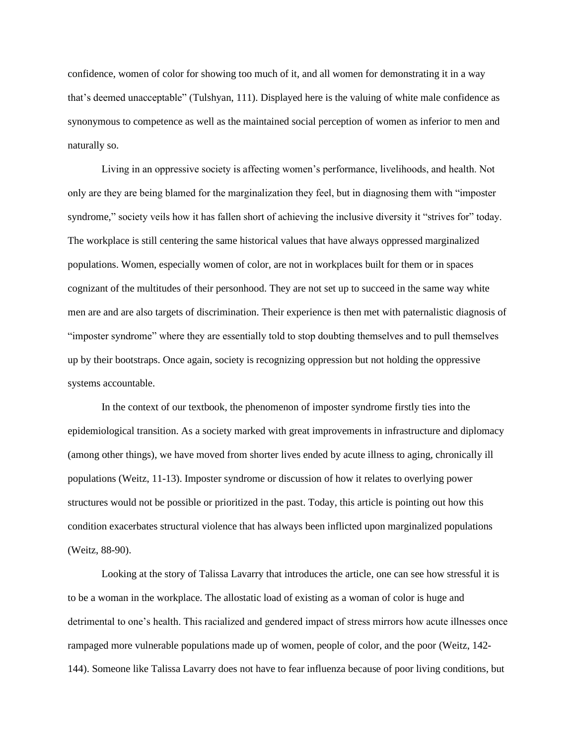confidence, women of color for showing too much of it, and all women for demonstrating it in a way that's deemed unacceptable" (Tulshyan, 111). Displayed here is the valuing of white male confidence as synonymous to competence as well as the maintained social perception of women as inferior to men and naturally so.

Living in an oppressive society is affecting women's performance, livelihoods, and health. Not only are they are being blamed for the marginalization they feel, but in diagnosing them with "imposter syndrome," society veils how it has fallen short of achieving the inclusive diversity it "strives for" today. The workplace is still centering the same historical values that have always oppressed marginalized populations. Women, especially women of color, are not in workplaces built for them or in spaces cognizant of the multitudes of their personhood. They are not set up to succeed in the same way white men are and are also targets of discrimination. Their experience is then met with paternalistic diagnosis of "imposter syndrome" where they are essentially told to stop doubting themselves and to pull themselves up by their bootstraps. Once again, society is recognizing oppression but not holding the oppressive systems accountable.

In the context of our textbook, the phenomenon of imposter syndrome firstly ties into the epidemiological transition. As a society marked with great improvements in infrastructure and diplomacy (among other things), we have moved from shorter lives ended by acute illness to aging, chronically ill populations (Weitz, 11-13). Imposter syndrome or discussion of how it relates to overlying power structures would not be possible or prioritized in the past. Today, this article is pointing out how this condition exacerbates structural violence that has always been inflicted upon marginalized populations (Weitz, 88-90).

Looking at the story of Talissa Lavarry that introduces the article, one can see how stressful it is to be a woman in the workplace. The allostatic load of existing as a woman of color is huge and detrimental to one's health. This racialized and gendered impact of stress mirrors how acute illnesses once rampaged more vulnerable populations made up of women, people of color, and the poor (Weitz, 142- 144). Someone like Talissa Lavarry does not have to fear influenza because of poor living conditions, but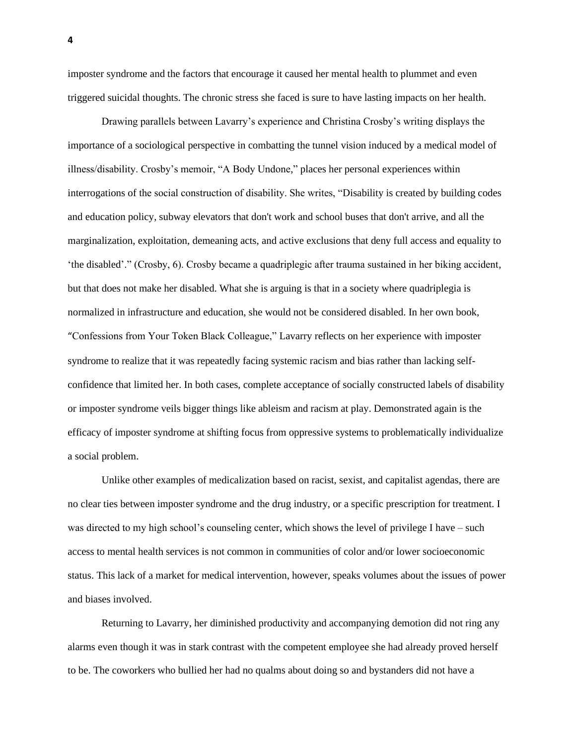imposter syndrome and the factors that encourage it caused her mental health to plummet and even triggered suicidal thoughts. The chronic stress she faced is sure to have lasting impacts on her health.

Drawing parallels between Lavarry's experience and Christina Crosby's writing displays the importance of a sociological perspective in combatting the tunnel vision induced by a medical model of illness/disability. Crosby's memoir, "A Body Undone," places her personal experiences within interrogations of the social construction of disability. She writes, "Disability is created by building codes and education policy, subway elevators that don't work and school buses that don't arrive, and all the marginalization, exploitation, demeaning acts, and active exclusions that deny full access and equality to 'the disabled'." (Crosby, 6). Crosby became a quadriplegic after trauma sustained in her biking accident, but that does not make her disabled. What she is arguing is that in a society where quadriplegia is normalized in infrastructure and education, she would not be considered disabled. In her own book, "Confessions from Your Token Black Colleague," Lavarry reflects on her experience with imposter syndrome to realize that it was repeatedly facing systemic racism and bias rather than lacking selfconfidence that limited her. In both cases, complete acceptance of socially constructed labels of disability or imposter syndrome veils bigger things like ableism and racism at play. Demonstrated again is the efficacy of imposter syndrome at shifting focus from oppressive systems to problematically individualize a social problem.

Unlike other examples of medicalization based on racist, sexist, and capitalist agendas, there are no clear ties between imposter syndrome and the drug industry, or a specific prescription for treatment. I was directed to my high school's counseling center, which shows the level of privilege I have – such access to mental health services is not common in communities of color and/or lower socioeconomic status. This lack of a market for medical intervention, however, speaks volumes about the issues of power and biases involved.

Returning to Lavarry, her diminished productivity and accompanying demotion did not ring any alarms even though it was in stark contrast with the competent employee she had already proved herself to be. The coworkers who bullied her had no qualms about doing so and bystanders did not have a

**4**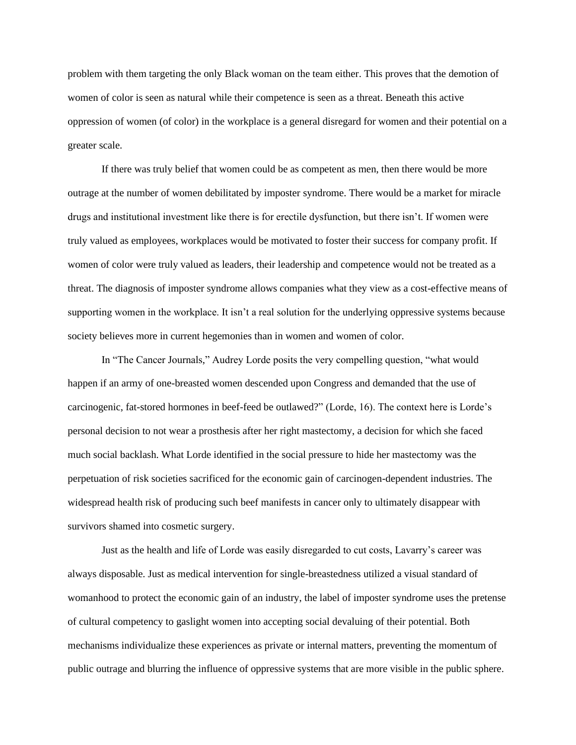problem with them targeting the only Black woman on the team either. This proves that the demotion of women of color is seen as natural while their competence is seen as a threat. Beneath this active oppression of women (of color) in the workplace is a general disregard for women and their potential on a greater scale.

If there was truly belief that women could be as competent as men, then there would be more outrage at the number of women debilitated by imposter syndrome. There would be a market for miracle drugs and institutional investment like there is for erectile dysfunction, but there isn't. If women were truly valued as employees, workplaces would be motivated to foster their success for company profit. If women of color were truly valued as leaders, their leadership and competence would not be treated as a threat. The diagnosis of imposter syndrome allows companies what they view as a cost-effective means of supporting women in the workplace. It isn't a real solution for the underlying oppressive systems because society believes more in current hegemonies than in women and women of color.

In "The Cancer Journals," Audrey Lorde posits the very compelling question, "what would happen if an army of one-breasted women descended upon Congress and demanded that the use of carcinogenic, fat-stored hormones in beef-feed be outlawed?" (Lorde, 16). The context here is Lorde's personal decision to not wear a prosthesis after her right mastectomy, a decision for which she faced much social backlash. What Lorde identified in the social pressure to hide her mastectomy was the perpetuation of risk societies sacrificed for the economic gain of carcinogen-dependent industries. The widespread health risk of producing such beef manifests in cancer only to ultimately disappear with survivors shamed into cosmetic surgery.

Just as the health and life of Lorde was easily disregarded to cut costs, Lavarry's career was always disposable. Just as medical intervention for single-breastedness utilized a visual standard of womanhood to protect the economic gain of an industry, the label of imposter syndrome uses the pretense of cultural competency to gaslight women into accepting social devaluing of their potential. Both mechanisms individualize these experiences as private or internal matters, preventing the momentum of public outrage and blurring the influence of oppressive systems that are more visible in the public sphere.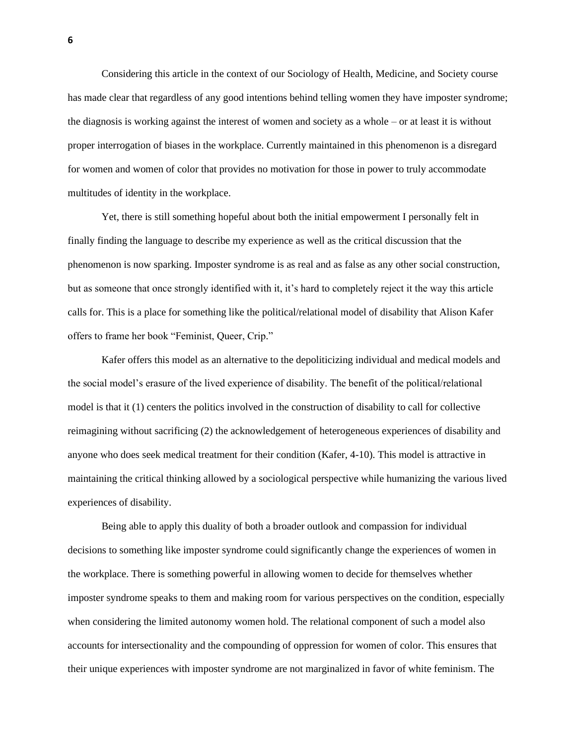Considering this article in the context of our Sociology of Health, Medicine, and Society course has made clear that regardless of any good intentions behind telling women they have imposter syndrome; the diagnosis is working against the interest of women and society as a whole – or at least it is without proper interrogation of biases in the workplace. Currently maintained in this phenomenon is a disregard for women and women of color that provides no motivation for those in power to truly accommodate multitudes of identity in the workplace.

Yet, there is still something hopeful about both the initial empowerment I personally felt in finally finding the language to describe my experience as well as the critical discussion that the phenomenon is now sparking. Imposter syndrome is as real and as false as any other social construction, but as someone that once strongly identified with it, it's hard to completely reject it the way this article calls for. This is a place for something like the political/relational model of disability that Alison Kafer offers to frame her book "Feminist, Queer, Crip."

Kafer offers this model as an alternative to the depoliticizing individual and medical models and the social model's erasure of the lived experience of disability. The benefit of the political/relational model is that it (1) centers the politics involved in the construction of disability to call for collective reimagining without sacrificing (2) the acknowledgement of heterogeneous experiences of disability and anyone who does seek medical treatment for their condition (Kafer, 4-10). This model is attractive in maintaining the critical thinking allowed by a sociological perspective while humanizing the various lived experiences of disability.

Being able to apply this duality of both a broader outlook and compassion for individual decisions to something like imposter syndrome could significantly change the experiences of women in the workplace. There is something powerful in allowing women to decide for themselves whether imposter syndrome speaks to them and making room for various perspectives on the condition, especially when considering the limited autonomy women hold. The relational component of such a model also accounts for intersectionality and the compounding of oppression for women of color. This ensures that their unique experiences with imposter syndrome are not marginalized in favor of white feminism. The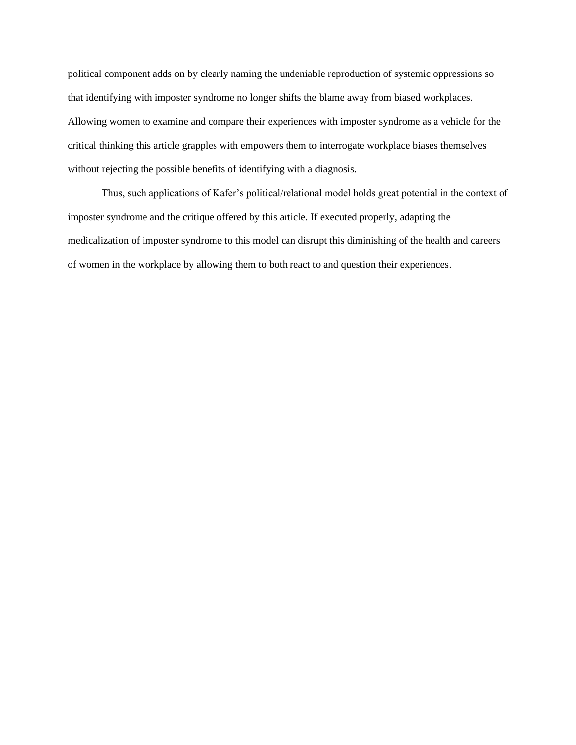political component adds on by clearly naming the undeniable reproduction of systemic oppressions so that identifying with imposter syndrome no longer shifts the blame away from biased workplaces. Allowing women to examine and compare their experiences with imposter syndrome as a vehicle for the critical thinking this article grapples with empowers them to interrogate workplace biases themselves without rejecting the possible benefits of identifying with a diagnosis.

Thus, such applications of Kafer's political/relational model holds great potential in the context of imposter syndrome and the critique offered by this article. If executed properly, adapting the medicalization of imposter syndrome to this model can disrupt this diminishing of the health and careers of women in the workplace by allowing them to both react to and question their experiences.